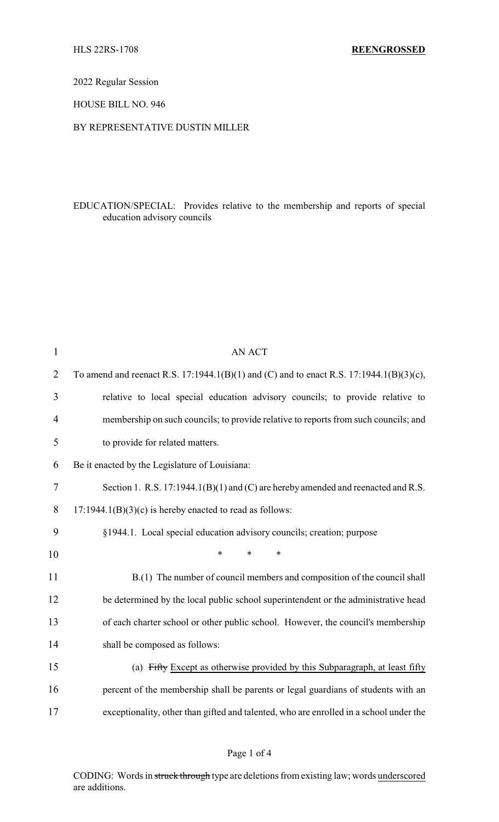2022 Regular Session

HOUSE BILL NO. 946

## BY REPRESENTATIVE DUSTIN MILLER

EDUCATION/SPECIAL: Provides relative to the membership and reports of special education advisory councils

| $\mathbf{1}$   | <b>AN ACT</b>                                                                           |
|----------------|-----------------------------------------------------------------------------------------|
| $\overline{2}$ | To amend and reenact R.S. 17:1944.1(B)(1) and (C) and to enact R.S. 17:1944.1(B)(3)(c), |
| 3              | relative to local special education advisory councils; to provide relative to           |
| 4              | membership on such councils; to provide relative to reports from such councils; and     |
| 5              | to provide for related matters.                                                         |
| 6              | Be it enacted by the Legislature of Louisiana:                                          |
| 7              | Section 1. R.S. 17:1944.1(B)(1) and (C) are hereby amended and reenacted and R.S.       |
| 8              | $17:1944.1(B)(3)(c)$ is hereby enacted to read as follows:                              |
| 9              | §1944.1. Local special education advisory councils; creation; purpose                   |
| 10             | $\ast$<br>*<br>*                                                                        |
| 11             | B.(1) The number of council members and composition of the council shall                |
| 12             | be determined by the local public school superintendent or the administrative head      |
| 13             | of each charter school or other public school. However, the council's membership        |
| 14             | shall be composed as follows:                                                           |
| 15             | (a) Fifty Except as otherwise provided by this Subparagraph, at least fifty             |
| 16             | percent of the membership shall be parents or legal guardians of students with an       |
| 17             | exceptionality, other than gifted and talented, who are enrolled in a school under the  |

CODING: Words in struck through type are deletions from existing law; words underscored are additions.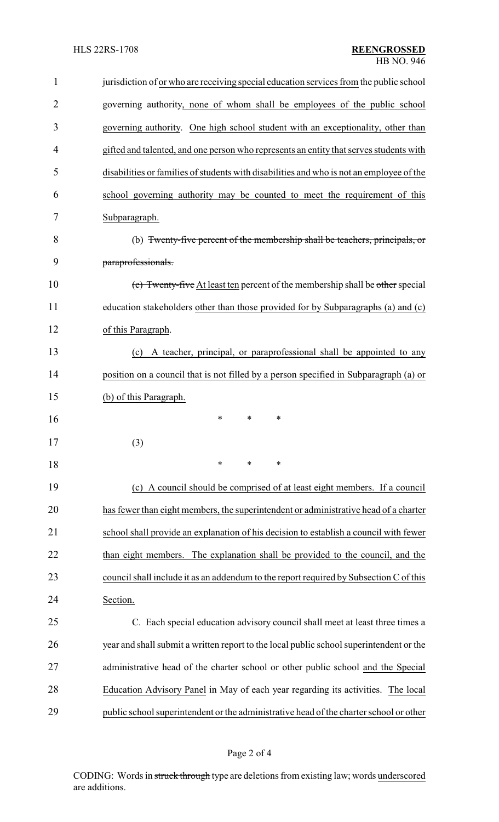| $\mathbf{1}$   | jurisdiction of or who are receiving special education services from the public school   |
|----------------|------------------------------------------------------------------------------------------|
| $\overline{2}$ | governing authority, none of whom shall be employees of the public school                |
| 3              | governing authority. One high school student with an exceptionality, other than          |
| 4              | gifted and talented, and one person who represents an entity that serves students with   |
| 5              | disabilities or families of students with disabilities and who is not an employee of the |
| 6              | school governing authority may be counted to meet the requirement of this                |
| 7              | Subparagraph.                                                                            |
| 8              | (b) Twenty-five percent of the membership shall be teachers, principals, or              |
| 9              | paraprofessionals.                                                                       |
| 10             | (c) Twenty-five At least ten percent of the membership shall be other special            |
| 11             | education stakeholders other than those provided for by Subparagraphs (a) and (c)        |
| 12             | of this Paragraph.                                                                       |
| 13             | A teacher, principal, or paraprofessional shall be appointed to any<br>(c)               |
| 14             | position on a council that is not filled by a person specified in Subparagraph (a) or    |
| 15             | (b) of this Paragraph.                                                                   |
| 16             | *<br>∗<br>∗                                                                              |
| 17             | (3)                                                                                      |
| 18             | $\ast$<br>$\ast$<br>*                                                                    |
| 19             | (c) A council should be comprised of at least eight members. If a council                |
| 20             | has fewer than eight members, the superintendent or administrative head of a charter     |
| 21             | school shall provide an explanation of his decision to establish a council with fewer    |
| 22             | than eight members. The explanation shall be provided to the council, and the            |
| 23             | council shall include it as an addendum to the report required by Subsection C of this   |
| 24             | Section.                                                                                 |
| 25             | C. Each special education advisory council shall meet at least three times a             |
| 26             | year and shall submit a written report to the local public school superintendent or the  |
| 27             | administrative head of the charter school or other public school and the Special         |
| 28             | Education Advisory Panel in May of each year regarding its activities. The local         |
| 29             | public school superintendent or the administrative head of the charter school or other   |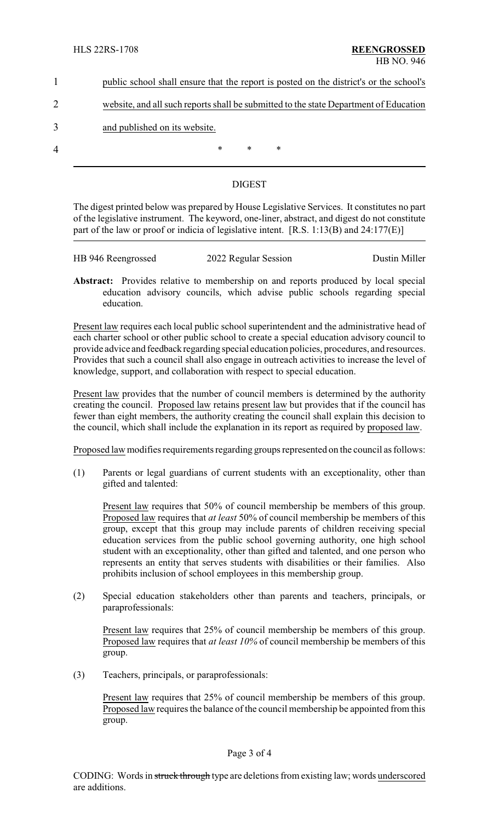| public school shall ensure that the report is posted on the district's or the school's |
|----------------------------------------------------------------------------------------|
|                                                                                        |
| website, and all such reports shall be submitted to the state Department of Education  |

3 and published on its website.

4 \* \* \* \*

## DIGEST

The digest printed below was prepared by House Legislative Services. It constitutes no part of the legislative instrument. The keyword, one-liner, abstract, and digest do not constitute part of the law or proof or indicia of legislative intent. [R.S. 1:13(B) and 24:177(E)]

| HB 946 Reengrossed | 2022 Regular Session | Dustin Miller |
|--------------------|----------------------|---------------|
|                    |                      |               |

**Abstract:** Provides relative to membership on and reports produced by local special education advisory councils, which advise public schools regarding special education.

Present law requires each local public school superintendent and the administrative head of each charter school or other public school to create a special education advisory council to provide advice and feedback regarding special education policies, procedures, and resources. Provides that such a council shall also engage in outreach activities to increase the level of knowledge, support, and collaboration with respect to special education.

Present law provides that the number of council members is determined by the authority creating the council. Proposed law retains present law but provides that if the council has fewer than eight members, the authority creating the council shall explain this decision to the council, which shall include the explanation in its report as required by proposed law.

Proposed law modifies requirements regarding groups represented on the council as follows:

(1) Parents or legal guardians of current students with an exceptionality, other than gifted and talented:

Present law requires that 50% of council membership be members of this group. Proposed law requires that *at least* 50% of council membership be members of this group, except that this group may include parents of children receiving special education services from the public school governing authority, one high school student with an exceptionality, other than gifted and talented, and one person who represents an entity that serves students with disabilities or their families. Also prohibits inclusion of school employees in this membership group.

(2) Special education stakeholders other than parents and teachers, principals, or paraprofessionals:

Present law requires that 25% of council membership be members of this group. Proposed law requires that *at least 10%* of council membership be members of this group.

(3) Teachers, principals, or paraprofessionals:

Present law requires that 25% of council membership be members of this group. Proposed law requires the balance of the council membership be appointed from this group.